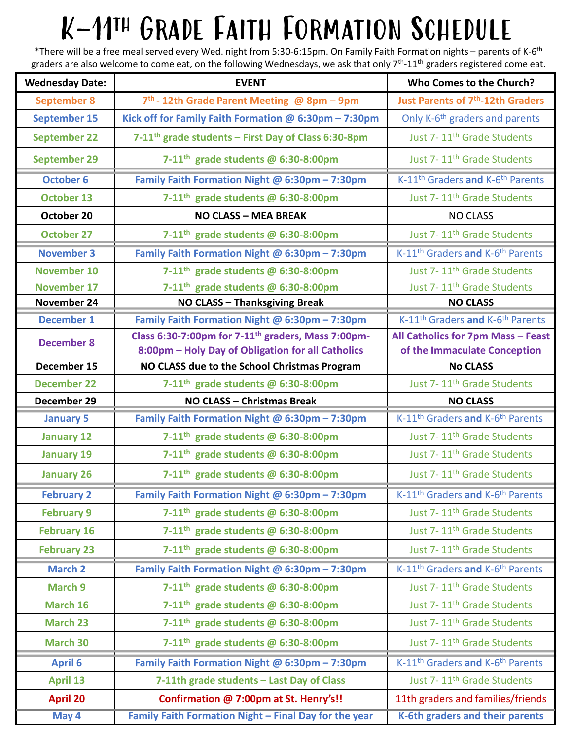## $K-11^{\text{TH}}$  GRADE FAITH FORMATION SCHEDULE<br>\*There will be a free meal served every Wed. night from 5:30-6:15pm. On Family Faith Formation nights – parents of K-6<sup>th</sup>

|                        | K-11TH GRADE FAITH FORMATION SCHEDULE                                                                                                                                                                                                                                            |                                                                    |
|------------------------|----------------------------------------------------------------------------------------------------------------------------------------------------------------------------------------------------------------------------------------------------------------------------------|--------------------------------------------------------------------|
|                        | *There will be a free meal served every Wed. night from 5:30-6:15pm. On Family Faith Formation nights – parents of K-6 <sup>th</sup><br>graders are also welcome to come eat, on the following Wednesdays, we ask that only $7th$ -11 <sup>th</sup> graders registered come eat. |                                                                    |
| <b>Wednesday Date:</b> | <b>EVENT</b>                                                                                                                                                                                                                                                                     | Who Comes to the Church?                                           |
| <b>September 8</b>     | $7th$ - 12th Grade Parent Meeting @ 8pm - 9pm                                                                                                                                                                                                                                    | <b>Just Parents of 7th-12th Graders</b>                            |
| <b>September 15</b>    | Kick off for Family Faith Formation $@6:30pm -7:30pm$                                                                                                                                                                                                                            | Only K-6 <sup>th</sup> graders and parents                         |
| <b>September 22</b>    | 7-11 <sup>th</sup> grade students – First Day of Class 6:30-8pm                                                                                                                                                                                                                  | Just 7-11 <sup>th</sup> Grade Students                             |
| <b>September 29</b>    | 7-11 <sup>th</sup> grade students @ 6:30-8:00pm                                                                                                                                                                                                                                  | Just 7-11 <sup>th</sup> Grade Students                             |
| <b>October 6</b>       | Family Faith Formation Night @ 6:30pm - 7:30pm                                                                                                                                                                                                                                   | K-11 <sup>th</sup> Graders and K-6 <sup>th</sup> Parents           |
| <b>October 13</b>      | 7-11 <sup>th</sup> grade students @ 6:30-8:00pm                                                                                                                                                                                                                                  | Just 7-11 <sup>th</sup> Grade Students                             |
| October 20             | <b>NO CLASS - MEA BREAK</b>                                                                                                                                                                                                                                                      | <b>NO CLASS</b>                                                    |
| <b>October 27</b>      | 7-11 <sup>th</sup> grade students $@$ 6:30-8:00pm                                                                                                                                                                                                                                | Just 7-11 <sup>th</sup> Grade Students                             |
| <b>November 3</b>      | Family Faith Formation Night @ 6:30pm - 7:30pm                                                                                                                                                                                                                                   | K-11 <sup>th</sup> Graders and K-6 <sup>th</sup> Parents           |
| <b>November 10</b>     | 7-11 <sup>th</sup> grade students @ 6:30-8:00pm                                                                                                                                                                                                                                  | Just 7-11 <sup>th</sup> Grade Students                             |
| <b>November 17</b>     | 7-11 <sup>th</sup> grade students @ 6:30-8:00pm                                                                                                                                                                                                                                  | Just 7-11 <sup>th</sup> Grade Students                             |
| November 24            | NO CLASS - Thanksgiving Break                                                                                                                                                                                                                                                    | <b>NO CLASS</b>                                                    |
| <b>December 1</b>      | Family Faith Formation Night @ 6:30pm - 7:30pm<br>Class 6:30-7:00pm for 7-11 <sup>th</sup> graders, Mass 7:00pm-                                                                                                                                                                 | K-11 <sup>th</sup> Graders and K-6 <sup>th</sup> Parents           |
| <b>December 8</b>      | 8:00pm - Holy Day of Obligation for all Catholics                                                                                                                                                                                                                                | All Catholics for 7pm Mass - Feast<br>of the Immaculate Conception |
| December 15            | NO CLASS due to the School Christmas Program                                                                                                                                                                                                                                     | <b>No CLASS</b>                                                    |
| <b>December 22</b>     | 7-11 <sup>th</sup> grade students @ 6:30-8:00pm                                                                                                                                                                                                                                  | Just 7-11 <sup>th</sup> Grade Students                             |
| December 29            | NO CLASS - Christmas Break                                                                                                                                                                                                                                                       | <b>NO CLASS</b>                                                    |
| <b>January 5</b>       | Family Faith Formation Night @ 6:30pm - 7:30pm                                                                                                                                                                                                                                   | K-11 <sup>th</sup> Graders and K-6 <sup>th</sup> Parents           |
| <b>January 12</b>      | 7-11 <sup>th</sup> grade students @ 6:30-8:00pm                                                                                                                                                                                                                                  | Just 7-11 <sup>th</sup> Grade Students                             |
| <b>January 19</b>      | 7-11 <sup>th</sup> grade students @ 6:30-8:00pm                                                                                                                                                                                                                                  | Just 7-11 <sup>th</sup> Grade Students                             |
|                        | 7-11 <sup>th</sup> grade students @ 6:30-8:00pm                                                                                                                                                                                                                                  |                                                                    |
| <b>January 26</b>      |                                                                                                                                                                                                                                                                                  | Just 7-11 <sup>th</sup> Grade Students                             |
| <b>February 2</b>      | Family Faith Formation Night @ 6:30pm - 7:30pm                                                                                                                                                                                                                                   | K-11 <sup>th</sup> Graders and K-6 <sup>th</sup> Parents           |
| <b>February 9</b>      | 7-11 <sup>th</sup> grade students @ 6:30-8:00pm                                                                                                                                                                                                                                  | Just 7-11 <sup>th</sup> Grade Students                             |
| <b>February 16</b>     | 7-11 <sup>th</sup> grade students @ 6:30-8:00pm                                                                                                                                                                                                                                  | Just 7-11 <sup>th</sup> Grade Students                             |
| <b>February 23</b>     | 7-11 <sup>th</sup> grade students @ 6:30-8:00pm                                                                                                                                                                                                                                  | Just 7-11 <sup>th</sup> Grade Students                             |
| <b>March 2</b>         | Family Faith Formation Night @ 6:30pm - 7:30pm                                                                                                                                                                                                                                   | K-11 <sup>th</sup> Graders and K-6 <sup>th</sup> Parents           |
| <b>March 9</b>         | 7-11 <sup>th</sup> grade students @ 6:30-8:00pm                                                                                                                                                                                                                                  | Just 7-11 <sup>th</sup> Grade Students                             |
| March 16               | 7-11 <sup>th</sup> grade students @ 6:30-8:00pm                                                                                                                                                                                                                                  | Just 7-11 <sup>th</sup> Grade Students                             |
| <b>March 23</b>        | 7-11 <sup>th</sup> grade students @ 6:30-8:00pm                                                                                                                                                                                                                                  | Just 7-11 <sup>th</sup> Grade Students                             |
| <b>March 30</b>        | 7-11 <sup>th</sup> grade students @ 6:30-8:00pm                                                                                                                                                                                                                                  | Just 7-11 <sup>th</sup> Grade Students                             |
| <b>April 6</b>         | Family Faith Formation Night @ 6:30pm - 7:30pm                                                                                                                                                                                                                                   | K-11 <sup>th</sup> Graders and K-6 <sup>th</sup> Parents           |
| <b>April 13</b>        | 7-11th grade students - Last Day of Class                                                                                                                                                                                                                                        | Just 7-11 <sup>th</sup> Grade Students                             |
| <b>April 20</b>        | Confirmation @ 7:00pm at St. Henry's!!                                                                                                                                                                                                                                           | 11th graders and families/friends                                  |
| May 4                  | Family Faith Formation Night - Final Day for the year                                                                                                                                                                                                                            | K-6th graders and their parents                                    |